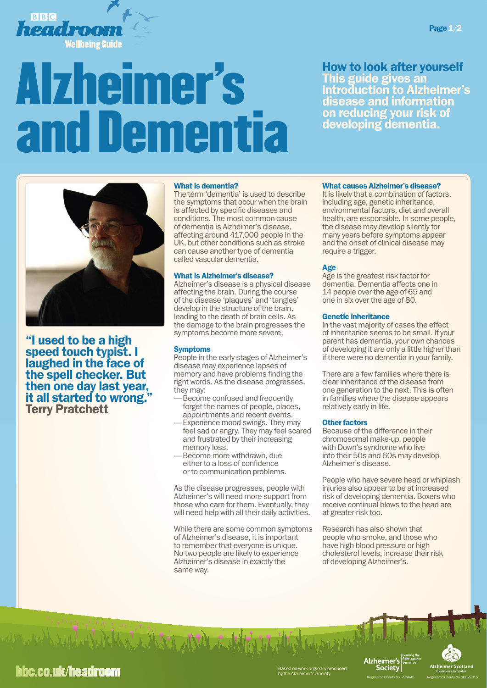

# Alzheimer's **Dementia**

How to look after yourself This guide gives an introduction to Alzheimer's disease and information on reducing your risk of developing dementia.



"I used to be a high speed touch typist. I laughed in the face of the spell checker. But then one day last year, it all started to wrong." Terry Pratchett

# What is dementia?

The term 'dementia' is used to describe the symptoms that occur when the brain is affected by specific diseases and conditions. The most common cause of dementia is Alzheimer's disease, affecting around 417,000 people in the UK, but other conditions such as stroke can cause another type of dementia called vascular dementia.

# What is Alzheimer's disease?

Alzheimer's disease is a physical disease affecting the brain. During the course of the disease 'plaques' and 'tangles' develop in the structure of the brain, leading to the death of brain cells. As the damage to the brain progresses the symptoms become more severe.

# Symptoms

People in the early stages of Alzheimer's disease may experience lapses of memory and have problems finding the right words. As the disease progresses, they may:

- Become confused and frequently forget the names of people, places, appointments and recent events.
- Experience mood swings. They may feel sad or angry. They may feel scared and frustrated by their increasing memory loss.<br>Become more withdrawn, due
- either to a loss of confidence or to communication problems.

As the disease progresses, people with Alzheimer's will need more support from those who care for them. Eventually, they will need help with all their daily activities.

While there are some common symptoms of Alzheimer's disease, it is important to remember that everyone is unique. No two people are likely to experience Alzheimer's disease in exactly the same way.

# What causes Alzheimer's disease?

It is likely that a combination of factors, including age, genetic inheritance, environmental factors, diet and overall health, are responsible. In some people, the disease may develop silently for many years before symptoms appear and the onset of clinical disease may require a trigger.

# Age

Age is the greatest risk factor for dementia. Dementia affects one in 14 people over the age of 65 and one in six over the age of 80.

# Genetic inheritance

In the vast majority of cases the effect of inheritance seems to be small. If your parent has dementia, your own chances of developing it are only a little higher than if there were no dementia in your family.

There are a few families where there is clear inheritance of the disease from one generation to the next. This is often in families where the disease appears relatively early in life.

# Other factors

Because of the difference in their chromosomal make-up, people with Down's syndrome who live into their 50s and 60s may develop Alzheimer's disease.

People who have severe head or whiplash injuries also appear to be at increased risk of developing dementia. Boxers who receive continual blows to the head are at greater risk too.

Research has also shown that people who smoke, and those who have high blood pressure or high cholesterol levels, increase their risk of developing Alzheimer's.



Page 1/2

# **bbc.co.uk/headroom**

Ved W Martin - Lad S. S.J.